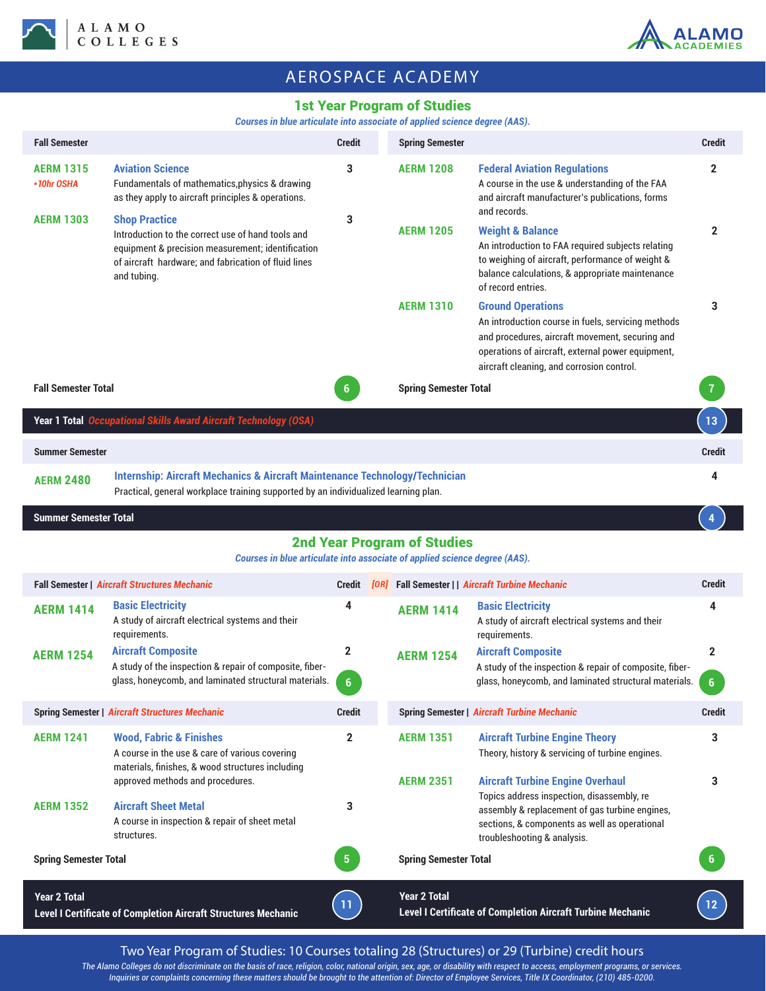



# AEROSPACE ACADEMY

### 1st Year Program of Studies

#### *Courses in blue articulate into associate of applied science degree (AAS).*

| <b>Fall Semester</b>                                                                                                                                                                              |                                                                                                                                                                                                       | <b>Credit</b>                  | <b>Spring Semester</b>                                                                                           |                                                                                                                                                                                                                                     | <b>Credit</b>                  |  |  |  |
|---------------------------------------------------------------------------------------------------------------------------------------------------------------------------------------------------|-------------------------------------------------------------------------------------------------------------------------------------------------------------------------------------------------------|--------------------------------|------------------------------------------------------------------------------------------------------------------|-------------------------------------------------------------------------------------------------------------------------------------------------------------------------------------------------------------------------------------|--------------------------------|--|--|--|
| <b>AERM 1315</b><br>*10hr OSHA                                                                                                                                                                    | <b>Aviation Science</b><br>Fundamentals of mathematics, physics & drawing<br>as they apply to aircraft principles & operations.                                                                       | 3                              | <b>AERM 1208</b>                                                                                                 | <b>Federal Aviation Regulations</b><br>A course in the use & understanding of the FAA<br>and aircraft manufacturer's publications, forms<br>and records.                                                                            | $\mathbf 2$                    |  |  |  |
| <b>AERM 1303</b>                                                                                                                                                                                  | <b>Shop Practice</b><br>Introduction to the correct use of hand tools and<br>equipment & precision measurement; identification<br>of aircraft hardware; and fabrication of fluid lines<br>and tubing. | 3                              | <b>AERM 1205</b>                                                                                                 | <b>Weight &amp; Balance</b><br>An introduction to FAA required subjects relating<br>to weighing of aircraft, performance of weight &<br>balance calculations, & appropriate maintenance<br>of record entries.                       | $\mathbf 2$                    |  |  |  |
|                                                                                                                                                                                                   |                                                                                                                                                                                                       |                                | <b>AERM 1310</b>                                                                                                 | <b>Ground Operations</b><br>An introduction course in fuels, servicing methods<br>and procedures, aircraft movement, securing and<br>operations of aircraft, external power equipment,<br>aircraft cleaning, and corrosion control. | 3                              |  |  |  |
| <b>Fall Semester Total</b>                                                                                                                                                                        |                                                                                                                                                                                                       |                                |                                                                                                                  | <b>Spring Semester Total</b>                                                                                                                                                                                                        |                                |  |  |  |
|                                                                                                                                                                                                   | Year 1 Total Occupational Skills Award Aircraft Technology (OSA)                                                                                                                                      |                                |                                                                                                                  |                                                                                                                                                                                                                                     | 13                             |  |  |  |
| <b>Summer Semester</b>                                                                                                                                                                            |                                                                                                                                                                                                       |                                |                                                                                                                  |                                                                                                                                                                                                                                     | <b>Credit</b>                  |  |  |  |
| <b>Internship: Aircraft Mechanics &amp; Aircraft Maintenance Technology/Technician</b><br><b>AERM 2480</b><br>Practical, general workplace training supported by an individualized learning plan. |                                                                                                                                                                                                       |                                |                                                                                                                  |                                                                                                                                                                                                                                     |                                |  |  |  |
| <b>Summer Semester Total</b>                                                                                                                                                                      |                                                                                                                                                                                                       |                                |                                                                                                                  |                                                                                                                                                                                                                                     |                                |  |  |  |
|                                                                                                                                                                                                   |                                                                                                                                                                                                       |                                | <b>2nd Year Program of Studies</b><br>Courses in blue articulate into associate of applied science degree (AAS). |                                                                                                                                                                                                                                     |                                |  |  |  |
| <b>Fall Semester   Aircraft Structures Mechanic</b>                                                                                                                                               |                                                                                                                                                                                                       |                                |                                                                                                                  | <b>Fall Semester     Aircraft Turbine Mechanic</b>                                                                                                                                                                                  |                                |  |  |  |
|                                                                                                                                                                                                   |                                                                                                                                                                                                       | <b>Credit</b>                  | [OR]                                                                                                             |                                                                                                                                                                                                                                     | <b>Credit</b>                  |  |  |  |
| <b>AERM 1414</b>                                                                                                                                                                                  | <b>Basic Electricity</b><br>A study of aircraft electrical systems and their<br>requirements.                                                                                                         | 4                              | <b>AERM 1414</b>                                                                                                 | <b>Basic Electricity</b><br>A study of aircraft electrical systems and their<br>requirements.                                                                                                                                       | 4                              |  |  |  |
| <b>AERM 1254</b>                                                                                                                                                                                  | <b>Aircraft Composite</b><br>A study of the inspection & repair of composite, fiber-<br>glass, honeycomb, and laminated structural materials.                                                         | $\mathbf{2}$<br>$6\phantom{1}$ | <b>AERM 1254</b>                                                                                                 | <b>Aircraft Composite</b><br>A study of the inspection & repair of composite, fiber-<br>glass, honeycomb, and laminated structural materials.                                                                                       | $\mathbf{2}$<br>$6\phantom{1}$ |  |  |  |
|                                                                                                                                                                                                   | <b>Spring Semester   Aircraft Structures Mechanic</b>                                                                                                                                                 | <b>Credit</b>                  |                                                                                                                  | <b>Spring Semester   Aircraft Turbine Mechanic</b>                                                                                                                                                                                  | <b>Credit</b>                  |  |  |  |
| <b>AERM 1241</b>                                                                                                                                                                                  | <b>Wood, Fabric &amp; Finishes</b><br>A course in the use & care of various covering<br>materials, finishes, & wood structures including                                                              | 2                              | <b>AERM 1351</b>                                                                                                 | <b>Aircraft Turbine Engine Theory</b><br>Theory, history & servicing of turbine engines.                                                                                                                                            | 3                              |  |  |  |
| <b>AERM 1352</b>                                                                                                                                                                                  | approved methods and procedures.<br><b>Aircraft Sheet Metal</b><br>A course in inspection & repair of sheet metal<br>structures.                                                                      | 3                              | <b>AERM 2351</b>                                                                                                 | <b>Aircraft Turbine Engine Overhaul</b><br>Topics address inspection, disassembly, re<br>assembly & replacement of gas turbine engines,<br>sections, & components as well as operational<br>troubleshooting & analysis.             | 3                              |  |  |  |
| <b>Spring Semester Total</b>                                                                                                                                                                      |                                                                                                                                                                                                       | 5 <sub>1</sub>                 | <b>Spring Semester Total</b>                                                                                     |                                                                                                                                                                                                                                     | 6                              |  |  |  |

Two Year Program of Studies: 10 Courses totaling 28 (Structures) or 29 (Turbine) credit hours

*The Alamo Colleges do not discriminate on the basis of race, religion, color, national origin, sex, age, or disability with respect to access, employment programs, or services. Inquiries or complaints concerning these matters should be brought to the attention of: Director of Employee Services, Title IX Coordinator, (210) 485-0200.*